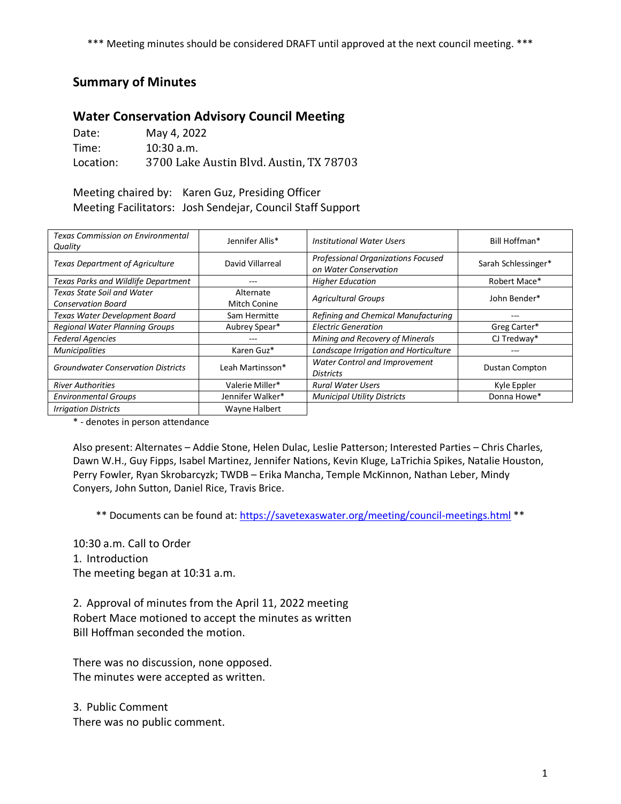\*\*\* Meeting minutes should be considered DRAFT until approved at the next council meeting. \*\*\*

## **Summary of Minutes**

## **Water Conservation Advisory Council Meeting**

Date: May 4, 2022 Time: 10:30 a.m. Location: 3700 Lake Austin Blvd. Austin, TX 78703

Meeting chaired by: Karen Guz, Presiding Officer Meeting Facilitators: Josh Sendejar, Council Staff Support

| <b>Texas Commission on Environmental</b><br>Quality     | Jennifer Allis*           | Institutional Water Users                                   | Bill Hoffman*         |
|---------------------------------------------------------|---------------------------|-------------------------------------------------------------|-----------------------|
| <b>Texas Department of Agriculture</b>                  | David Villarreal          | Professional Organizations Focused<br>on Water Conservation | Sarah Schlessinger*   |
| Texas Parks and Wildlife Department                     | ---                       | <b>Higher Education</b>                                     | Robert Mace*          |
| Texas State Soil and Water<br><b>Conservation Board</b> | Alternate<br>Mitch Conine | <b>Agricultural Groups</b>                                  | John Bender*          |
| Texas Water Development Board                           | Sam Hermitte              | Refining and Chemical Manufacturing                         |                       |
| <b>Regional Water Planning Groups</b>                   | Aubrey Spear*             | <b>Electric Generation</b>                                  | Greg Carter*          |
| <b>Federal Agencies</b>                                 | ---                       | Mining and Recovery of Minerals                             | CJ Tredway*           |
| <b>Municipalities</b>                                   | Karen Guz*                | Landscape Irrigation and Horticulture                       | ---                   |
| <b>Groundwater Conservation Districts</b>               | Leah Martinsson*          | Water Control and Improvement<br><b>Districts</b>           | <b>Dustan Compton</b> |
| <b>River Authorities</b>                                | Valerie Miller*           | <b>Rural Water Users</b>                                    | Kyle Eppler           |
| <b>Environmental Groups</b>                             | Jennifer Walker*          | <b>Municipal Utility Districts</b>                          | Donna Howe*           |
| <b>Irrigation Districts</b>                             | Wayne Halbert             |                                                             |                       |

\* - denotes in person attendance

Also present: Alternates – Addie Stone, Helen Dulac, Leslie Patterson; Interested Parties – Chris Charles, Dawn W.H., Guy Fipps, Isabel Martinez, Jennifer Nations, Kevin Kluge, LaTrichia Spikes, Natalie Houston, Perry Fowler, Ryan Skrobarcyzk; TWDB – Erika Mancha, Temple McKinnon, Nathan Leber, Mindy Conyers, John Sutton, Daniel Rice, Travis Brice.

\*\* Documents can be found at:<https://savetexaswater.org/meeting/council-meetings.html> \*\*

10:30 a.m. Call to Order 1. Introduction The meeting began at 10:31 a.m.

2. Approval of minutes from the April 11, 2022 meeting Robert Mace motioned to accept the minutes as written Bill Hoffman seconded the motion.

There was no discussion, none opposed. The minutes were accepted as written.

3. Public Comment There was no public comment.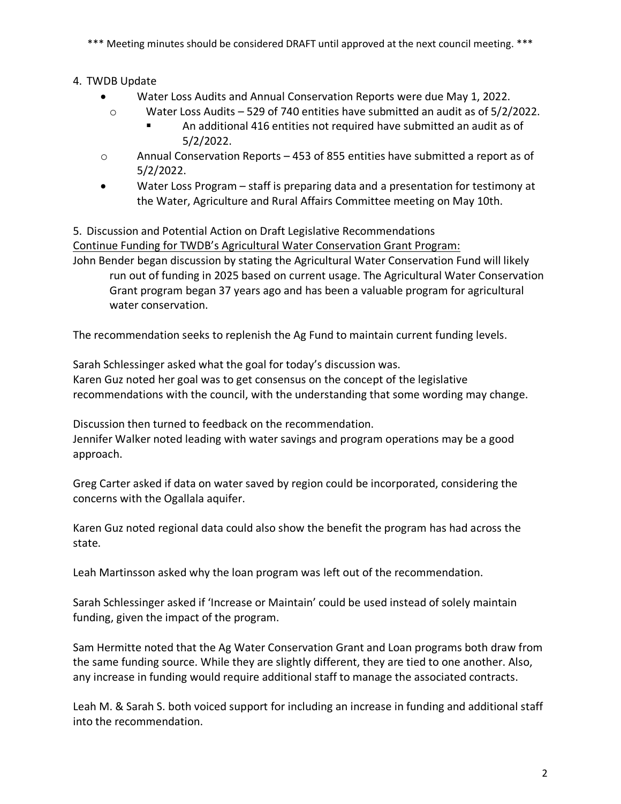\*\*\* Meeting minutes should be considered DRAFT until approved at the next council meeting. \*\*\*

4. TWDB Update

- Water Loss Audits and Annual Conservation Reports were due May 1, 2022.
	- o Water Loss Audits 529 of 740 entities have submitted an audit as of 5/2/2022.
		- An additional 416 entities not required have submitted an audit as of 5/2/2022.
- o Annual Conservation Reports 453 of 855 entities have submitted a report as of 5/2/2022.
- Water Loss Program staff is preparing data and a presentation for testimony at the Water, Agriculture and Rural Affairs Committee meeting on May 10th.

5. Discussion and Potential Action on Draft Legislative Recommendations Continue Funding for TWDB's Agricultural Water Conservation Grant Program:

John Bender began discussion by stating the Agricultural Water Conservation Fund will likely run out of funding in 2025 based on current usage. The Agricultural Water Conservation Grant program began 37 years ago and has been a valuable program for agricultural water conservation.

The recommendation seeks to replenish the Ag Fund to maintain current funding levels.

Sarah Schlessinger asked what the goal for today's discussion was. Karen Guz noted her goal was to get consensus on the concept of the legislative recommendations with the council, with the understanding that some wording may change.

Discussion then turned to feedback on the recommendation.

Jennifer Walker noted leading with water savings and program operations may be a good approach.

Greg Carter asked if data on water saved by region could be incorporated, considering the concerns with the Ogallala aquifer.

Karen Guz noted regional data could also show the benefit the program has had across the state.

Leah Martinsson asked why the loan program was left out of the recommendation.

Sarah Schlessinger asked if 'Increase or Maintain' could be used instead of solely maintain funding, given the impact of the program.

Sam Hermitte noted that the Ag Water Conservation Grant and Loan programs both draw from the same funding source. While they are slightly different, they are tied to one another. Also, any increase in funding would require additional staff to manage the associated contracts.

Leah M. & Sarah S. both voiced support for including an increase in funding and additional staff into the recommendation.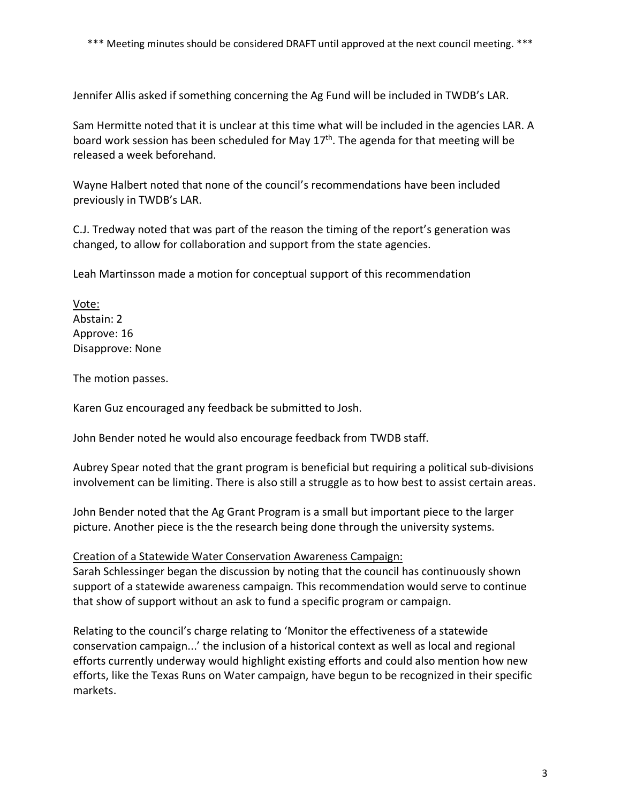Jennifer Allis asked if something concerning the Ag Fund will be included in TWDB's LAR.

Sam Hermitte noted that it is unclear at this time what will be included in the agencies LAR. A board work session has been scheduled for May  $17<sup>th</sup>$ . The agenda for that meeting will be released a week beforehand.

Wayne Halbert noted that none of the council's recommendations have been included previously in TWDB's LAR.

C.J. Tredway noted that was part of the reason the timing of the report's generation was changed, to allow for collaboration and support from the state agencies.

Leah Martinsson made a motion for conceptual support of this recommendation

Vote: Abstain: 2 Approve: 16 Disapprove: None

The motion passes.

Karen Guz encouraged any feedback be submitted to Josh.

John Bender noted he would also encourage feedback from TWDB staff.

Aubrey Spear noted that the grant program is beneficial but requiring a political sub-divisions involvement can be limiting. There is also still a struggle as to how best to assist certain areas.

John Bender noted that the Ag Grant Program is a small but important piece to the larger picture. Another piece is the the research being done through the university systems.

## Creation of a Statewide Water Conservation Awareness Campaign:

Sarah Schlessinger began the discussion by noting that the council has continuously shown support of a statewide awareness campaign. This recommendation would serve to continue that show of support without an ask to fund a specific program or campaign.

Relating to the council's charge relating to 'Monitor the effectiveness of a statewide conservation campaign...' the inclusion of a historical context as well as local and regional efforts currently underway would highlight existing efforts and could also mention how new efforts, like the Texas Runs on Water campaign, have begun to be recognized in their specific markets.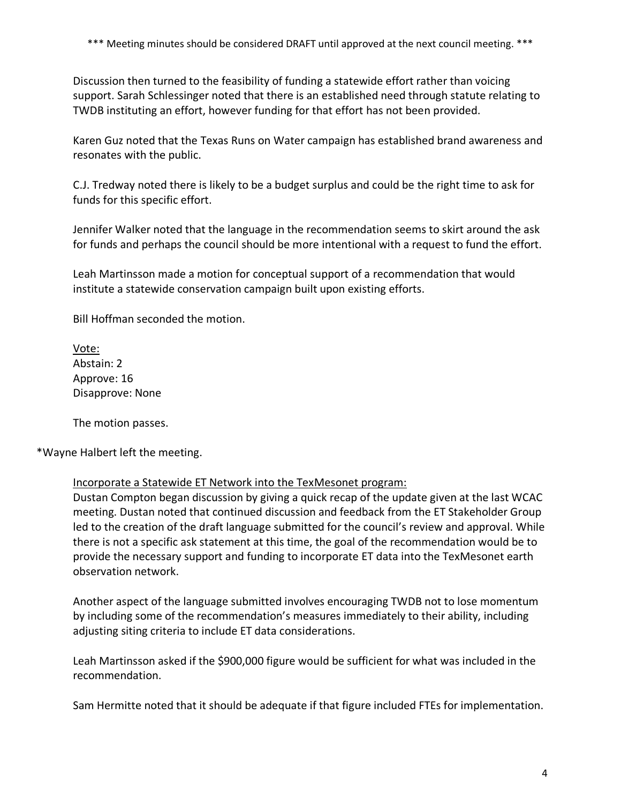Discussion then turned to the feasibility of funding a statewide effort rather than voicing support. Sarah Schlessinger noted that there is an established need through statute relating to TWDB instituting an effort, however funding for that effort has not been provided.

Karen Guz noted that the Texas Runs on Water campaign has established brand awareness and resonates with the public.

C.J. Tredway noted there is likely to be a budget surplus and could be the right time to ask for funds for this specific effort.

Jennifer Walker noted that the language in the recommendation seems to skirt around the ask for funds and perhaps the council should be more intentional with a request to fund the effort.

Leah Martinsson made a motion for conceptual support of a recommendation that would institute a statewide conservation campaign built upon existing efforts.

Bill Hoffman seconded the motion.

Vote: Abstain: 2 Approve: 16 Disapprove: None

The motion passes.

\*Wayne Halbert left the meeting.

Incorporate a Statewide ET Network into the TexMesonet program:

Dustan Compton began discussion by giving a quick recap of the update given at the last WCAC meeting. Dustan noted that continued discussion and feedback from the ET Stakeholder Group led to the creation of the draft language submitted for the council's review and approval. While there is not a specific ask statement at this time, the goal of the recommendation would be to provide the necessary support and funding to incorporate ET data into the TexMesonet earth observation network.

Another aspect of the language submitted involves encouraging TWDB not to lose momentum by including some of the recommendation's measures immediately to their ability, including adjusting siting criteria to include ET data considerations.

Leah Martinsson asked if the \$900,000 figure would be sufficient for what was included in the recommendation.

Sam Hermitte noted that it should be adequate if that figure included FTEs for implementation.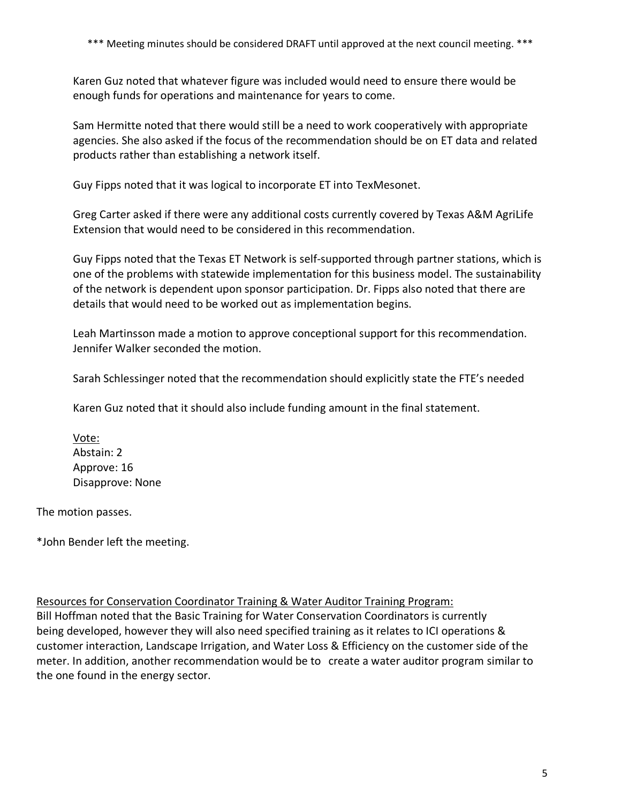Karen Guz noted that whatever figure was included would need to ensure there would be enough funds for operations and maintenance for years to come.

Sam Hermitte noted that there would still be a need to work cooperatively with appropriate agencies. She also asked if the focus of the recommendation should be on ET data and related products rather than establishing a network itself.

Guy Fipps noted that it was logical to incorporate ET into TexMesonet.

Greg Carter asked if there were any additional costs currently covered by Texas A&M AgriLife Extension that would need to be considered in this recommendation.

Guy Fipps noted that the Texas ET Network is self-supported through partner stations, which is one of the problems with statewide implementation for this business model. The sustainability of the network is dependent upon sponsor participation. Dr. Fipps also noted that there are details that would need to be worked out as implementation begins.

Leah Martinsson made a motion to approve conceptional support for this recommendation. Jennifer Walker seconded the motion.

Sarah Schlessinger noted that the recommendation should explicitly state the FTE's needed

Karen Guz noted that it should also include funding amount in the final statement.

Vote: Abstain: 2 Approve: 16 Disapprove: None

The motion passes.

\*John Bender left the meeting.

Resources for Conservation Coordinator Training & Water Auditor Training Program:

Bill Hoffman noted that the Basic Training for Water Conservation Coordinators is currently being developed, however they will also need specified training as it relates to ICI operations & customer interaction, Landscape Irrigation, and Water Loss & Efficiency on the customer side of the meter. In addition, another recommendation would be to create a water auditor program similar to the one found in the energy sector.